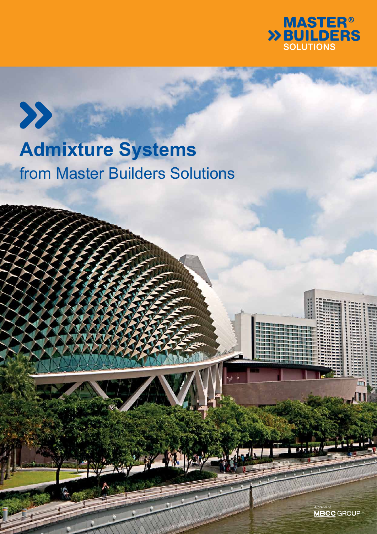

## **Admixture Systems** from Master Builders Solutions

 $\boldsymbol{\Sigma}$ 

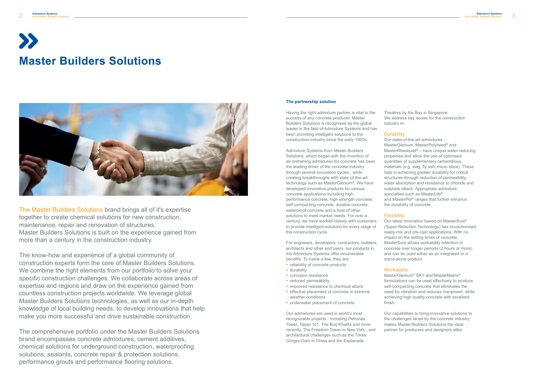# **Master Builders Solutions**



Having the right admixture partner is vital to the success of any concrete producer. Master Builders Solutions is recognised as the global leader in the field of Admixture Systems and has been providing intelligent solutions to the construction industry since the early 1900s.

Admixture Systems from Master Builders Solutions, which began with the invention of air-entraining admixtures for concrete has been the leading driver of the concrete industry through several innovation cycles , while creating breakthroughs with state-of-the-art technology such as MasterGlenium®. We have developed innovative products for various concrete applications including high performance concrete, high strength concrete, self-compacting concrete, durable concrete, waterproof concrete and a host of other solutions to meet market needs. For over a century, we have worked closely with customers to provide intelligent solutions for every stage of the construction cycle.

For engineers, developers, contractors, builders, architects and other end users, our products in the Admixture Systems offer innumerable benefits. To name a few, they are:

- **F** reliability of concrete products
- **durability**
- **COFFORD FILM corrosion resistance**
- **reduced permeability**
- **·** improved resistance to chemical attack **EXECT** effective placement of concrete in extreme weather conditions
- underwater placement of concrete

Our admixtures are used in world's most recognizable projects - including Petronas Tower, Taipei 101, The Burj Khalifa and more recently, The Freedom Tower in New York - and architectural challenges such as the Three Gorges Dam in China and the Esplanade

Theatres by the Bay in Singapore. We address key issues for the construction

industry in:

**Durability** 

Our state-of-the-art admixtures – MasterGlenium, MasterPolyheed® and MasterRheobuild® – have unique water-reducing properties and allow the use of optimised quantities of supplementary cementitious materials (e.g. slag, fly ash, micro silica). These help in achieving greater durability for critical structures through reduction of permeability, water absorption and resistance to chloride and sulphate attack. Appropriate admixture specialties such as MasterLife® and MasterPel® ranges that further enhance the durability of concrete.

## **Flexibility**

#### **Workability**

Our latest innovation based on MasterSure® (Super Retention Technology) has revolutionised ready-mix and pre-cast applications. With no impact on the setting times of concrete, MasterSure allows workability retention of concrete over longer periods (2 hours or more) and can be used either as an integrated or a stand-alone product.

MasterGlenium® SKY and MasterMatrix® formulations can be used effectively to produce self-compacting concrete that eliminates the need for vibration and reduces manpower, while achieving high quality concrete with excellent

finish.

Our capabilities to bring innovative solutions to the challenges faced by the concrete industry makes Master Builders Solutions the ideal partner for producers and designers alike.

## **The partnership solution**

The Master Builders Solutions brand brings all of it's expertise together to create chemical solutions for new construction, maintenance, repair and renovation of structures. Master Builders Solutions is built on the experience gained from more than a century in the construction industry.

The know-how and experience of a global community of construction experts form the core of Master Builders Solutions. We combine the right elements from our portfolio to solve your specific construction challenges. We collaborate across areas of expertise and regions and draw on the experience gained from countless construction projects worldwide. We leverage global Master Builders Solutions technologies, as well as our in-depth knowledge of local building needs, to develop innovations that help make you more successful and drive sustainable construction.

The comprehensive portfolio under the Master Builders Solutions brand encompasses concrete admixtures, cement additives, chemical solutions for underground construction, waterproofing solutions, sealants, concrete repair & protection solutions, performance grouts and performance flooring solutions.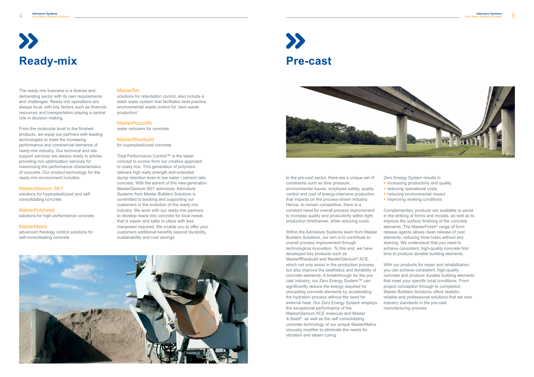# **Ready-mix Pre-cast**

The ready-mix business is a diverse and demanding sector with its own requirements and challenges. Ready-mix operations are always local, with key factors such as financial resources and transportation playing a central role in decision making.

From the molecular level to the finished products, we equip our partners with leading technologies to meet the increasing performance and commercial demands of ready-mix industry. Our technical and site support services are always ready to advise, providing mix optimization services for maximizing the performance characteristics of concrete. Our product technology for the ready-mix environment includes:

#### MasterGlenium SKY

solutions for hyperplasticized and self consolidating concrete

MasterPolyheed solutions for high performance concrete

#### **MasterMatrix**

advanced rheology control solutions for self-consolidating concrete

#### **MasterSet**

solutions for retardation control, also include a wash water system that facilitates best-practice environmental waste control for 'zero waste production'

#### MasterPozzolith

water reducers for concrete

#### MasterRheobuild

for superplasticized concrete

Total Performance Control™ is the latest concept to evolve from our creative approach to ready-mix. This generation of polymers delivers high early strength and extended slump retention even in low water / cement ratio concrete. With the advent of this new-generation MasterGlenium SKY admixture, Admixture Systems from Master Builders Solutions is committed to backing and supporting our customers in the evolution of the ready-mix industry. We work with our ready-mix partners to develop ready-mix concrete for local needs that is easier and safer to place with less manpower required. We enable you to offer your customers additional benefits beyond durability, sustainability and cost savings.





Zero Energy System results in  $\blacksquare$  increasing productivity and quality • reducing operational costs **r** reducing environmental impact **·** improving working conditions

In the pre-cast sector, there are a unique set of constraints such as time pressure,

environmental issues, employee safety, quality control and cost of energy-intensive production that impacts on the process-driven industry. Hence, to remain competitive, there is a

constant need for overall process improvement to increase quality and productivity within tight production timeframes, while reducing costs.

Within the Admixture Systems team from Master Builders Solutions, our aim is to contribute to overall process improvement through technological innovation. To this end, we have developed key products such as MasterRheobuild and MasterGlenium® ACE,

which not only assist in the production process, but also improve the aesthetics and durability of concrete elements. A breakthrough for the precast industry, our Zero Energy System™ can significantly reduce the energy required for precasting concrete elements by accelerating the hydration process without the need for external heat. Our Zero Energy System employs the exceptional performance of the MasterGlenium ACE molecule and Master X-Seed®, as well as the self consolidating concrete technology of our unique MasterMatrix viscosity modifier to eliminate the needs for vibration and steam curing.

- 
- 
- 
- 
- 

Complementary products are available to assist in the striking of forms and moulds, as well as to improve the surface finishing of the concrete elements. The MasterFinish® range of form release agents allows clean release of cast elements, reducing blow holes without any staining. We understand that you need to achieve consistent, high-quality concrete first time to produce durable building elements.

With our products for repair and rehabilitation, you can achieve consistent, high-quality concrete and produce durable building elements that meet your specific local conditions. From project conception through to completion, Master Builders Solutions offers realistic, reliable and professional solutions that set new industry standards in the pre-cast manufacturing process.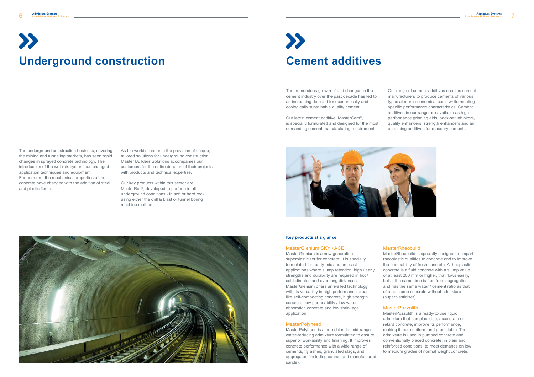The underground construction business, covering the mining and tunneling markets, has seen rapid changes in sprayed concrete technology. The introduction of the wet-mix system has changed application techniques and equipment. Furthermore, the mechanical properties of the concrete have changed with the addition of steel and plastic fibers.

As the world's leader in the provision of unique, tailored solutions for underground construction, Master Builders Solutions accompanies our customers for the entire duration of their projects with products and technical expertise.

Our key products within this sector are MasterRoc®, developed to perform in all underground conditions - in soft or hard rock using either the drill & blast or tunnel boring machine method.



The tremendous growth of and changes in the cement industry over the past decade has led to an increasing demand for economically and ecologically sustainable quality cement.

Our latest cement additive, MasterCem®, is specially formulated and designed for the most demanding cement manufacturing requirements.



Our range of cement additives enables cement manufacturers to produce cements of various types at more economical costs while meeting specific performance characteristics. Cement additives in our range are available as high performance grinding aids, pack-set inhibitors, quality enhancers, strength enhancers and air entraining additives for masonry cements.

#### MasterGlenium SKY / ACE

MasterGlenium is a new generation superplasticiser for concrete. It is specially formulated for ready-mix and pre-cast applications where slump retention, high / early strengths and durability are required in hot / cold climates and over long distances. MasterGlenium offers unrivalled technology with its versatility in high performance areas like self-compacting concrete, high strength concrete, low permeability / low water absorption concrete and low shrinkage application.

#### MasterPolyheed

MasterPolyheed is a non-chloride, mid-range water-reducing admixture formulated to ensure superior workability and finishing. It improves concrete performance with a wide range of cements, fly ashes, granulated slags, and aggregates (including coarse and manufactured sands).

## MasterRheobuild

MasterRheobuild is specially designed to impart rheoplastic qualities to concrete and to improve the pumpability of fresh concrete. A rheoplastic concrete is a fluid concrete with a slump value of at least 200 mm or higher, that flows easily, but at the same time is free from segregation, and has the same water / cement ratio as that of a no-slump concrete without admixture

(superplasticiser).

## **MasterPozzolith**

MasterPozzolith is a ready-to-use liquid admixture that can plasticise, accelerate or retard concrete, improve its performance, making it more uniform and predictable. The admixture is used in pumped concrete and conventionally placed concrete; in plain and reinforced conditions; to meet demands on low to medium grades of normal weight concrete.

### **Key products at a glance**

# **Underground construction by Cement additives**